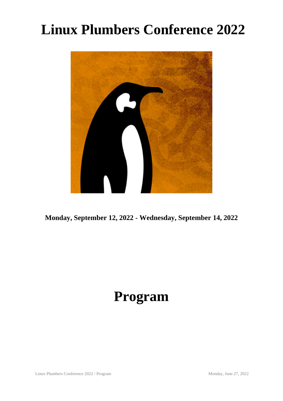# **Linux Plumbers Conference 2022**



**Monday, September 12, 2022 - Wednesday, September 14, 2022**

# **Program**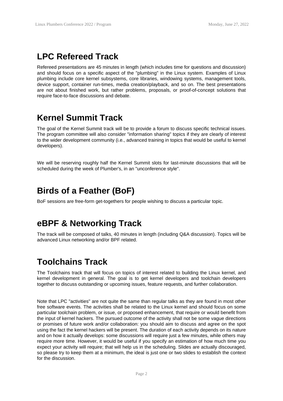## **LPC Refereed Track**

Refereed presentations are 45 minutes in length (which includes time for questions and discussion) and should focus on a specific aspect of the "plumbing" in the Linux system. Examples of Linux plumbing include core kernel subsystems, core libraries, windowing systems, management tools, device support, container run-times, media creation/playback, and so on. The best presentations are not about finished work, but rather problems, proposals, or proof-of-concept solutions that require face-to-face discussions and debate.

#### **Kernel Summit Track**

The goal of the Kernel Summit track will be to provide a forum to discuss specific technical issues. The program committee will also consider "information sharing" topics if they are clearly of interest to the wider development community (i.e., advanced training in topics that would be useful to kernel developers).

We will be reserving roughly half the Kernel Summit slots for last-minute discussions that will be scheduled during the week of Plumber's, in an "unconference style".

#### **Birds of a Feather (BoF)**

BoF sessions are free-form get-togethers for people wishing to discuss a particular topic.

## **eBPF & Networking Track**

The track will be composed of talks, 40 minutes in length (including Q&A discussion). Topics will be advanced Linux networking and/or BPF related.

## **Toolchains Track**

The Toolchains track that will focus on topics of interest related to building the Linux kernel, and kernel development in general. The goal is to get kernel developers and toolchain developers together to discuss outstanding or upcoming issues, feature requests, and further collaboration.

Note that LPC "activities" are not quite the same than regular talks as they are found in most other free software events. The activities shall be related to the Linux kernel and should focus on some particular toolchain problem, or issue, or proposed enhancement, that require or would benefit from the input of kernel hackers. The pursued outcome of the activity shall not be some vague directions or promises of future work and/or collaboration: you should aim to discuss and agree on the spot using the fact the kernel hackers will be present. The duration of each activity depends on its nature and on how it actually develops: some discussions will require just a few minutes, while others may require more time. However, it would be useful if you specify an estimation of how much time you expect your activity will require; that will help us in the scheduling. Slides are actually discouraged, so please try to keep them at a minimum, the ideal is just one or two slides to establish the context for the discussion.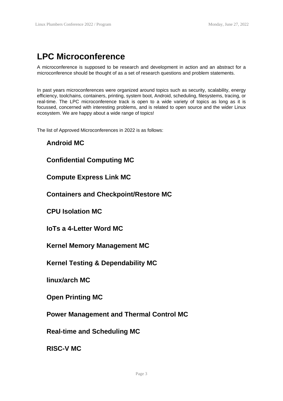## **LPC Microconference**

A microconference is supposed to be research and development in action and an abstract for a microconference should be thought of as a set of research questions and problem statements.

In past years microconferences were organized around topics such as security, scalability, energy efficiency, toolchains, containers, printing, system boot, Android, scheduling, filesystems, tracing, or real-time. The LPC microconference track is open to a wide variety of topics as long as it is focussed, concerned with interesting problems, and is related to open source and the wider Linux ecosystem. We are happy about a wide range of topics!

The list of Approved Microconferences in 2022 is as follows:

#### **Android MC**

#### **Confidential Computing MC**

**Compute Express Link MC**

**Containers and Checkpoint/Restore MC**

**CPU Isolation MC**

**IoTs a 4-Letter Word MC**

**Kernel Memory Management MC**

**Kernel Testing & Dependability MC**

**linux/arch MC**

**Open Printing MC**

**Power Management and Thermal Control MC**

**Real-time and Scheduling MC**

**RISC-V MC**